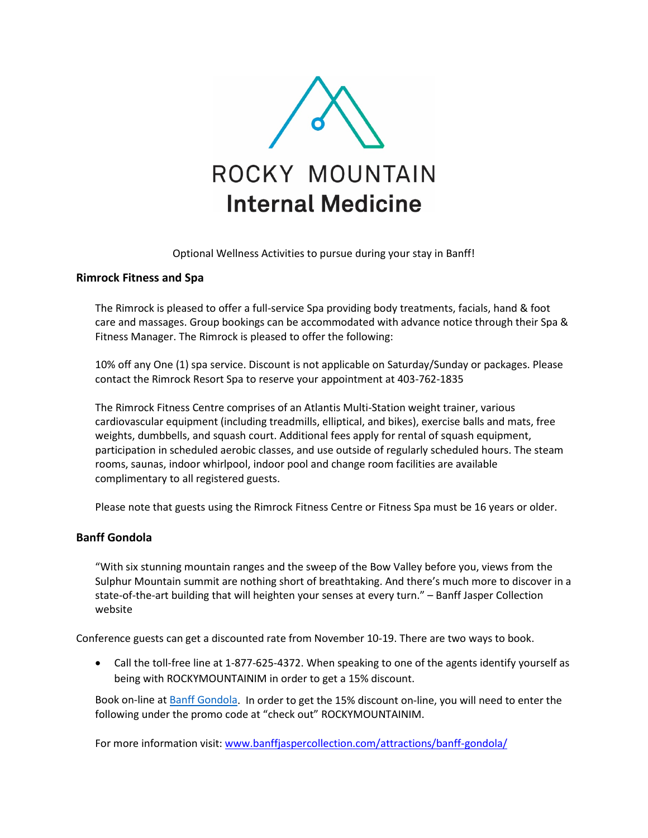

Optional Wellness Activities to pursue during your stay in Banff!

### **Rimrock Fitness and Spa**

The Rimrock is pleased to offer a full-service Spa providing body treatments, facials, hand & foot care and massages. Group bookings can be accommodated with advance notice through their Spa & Fitness Manager. The Rimrock is pleased to offer the following:

10% off any One (1) spa service. Discount is not applicable on Saturday/Sunday or packages. Please contact the Rimrock Resort Spa to reserve your appointment at 403-762-1835

The Rimrock Fitness Centre comprises of an Atlantis Multi-Station weight trainer, various cardiovascular equipment (including treadmills, elliptical, and bikes), exercise balls and mats, free weights, dumbbells, and squash court. Additional fees apply for rental of squash equipment, participation in scheduled aerobic classes, and use outside of regularly scheduled hours. The steam rooms, saunas, indoor whirlpool, indoor pool and change room facilities are available complimentary to all registered guests.

Please note that guests using the Rimrock Fitness Centre or Fitness Spa must be 16 years or older.

### **Banff Gondola**

"With six stunning mountain ranges and the sweep of the Bow Valley before you, views from the Sulphur Mountain summit are nothing short of breathtaking. And there's much more to discover in a state-of-the-art building that will heighten your senses at every turn." – Banff Jasper Collection website

Conference guests can get a discounted rate from November 10-19. There are two ways to book.

• Call the toll-free line at 1-877-625-4372. When speaking to one of the agents identify yourself as being with ROCKYMOUNTAINIM in order to get a 15% discount.

Book on-line at [Banff Gondola.](http://www.brewster.ca/attractions-sightseeing/banff-gondola/) In order to get the 15% discount on-line, you will need to enter the following under the promo code at "check out" ROCKYMOUNTAINIM.

For more information visit[: www.banffjaspercollection.com/attractions/banff-gondola/](https://www.banffjaspercollection.com/attractions/banff-gondola/)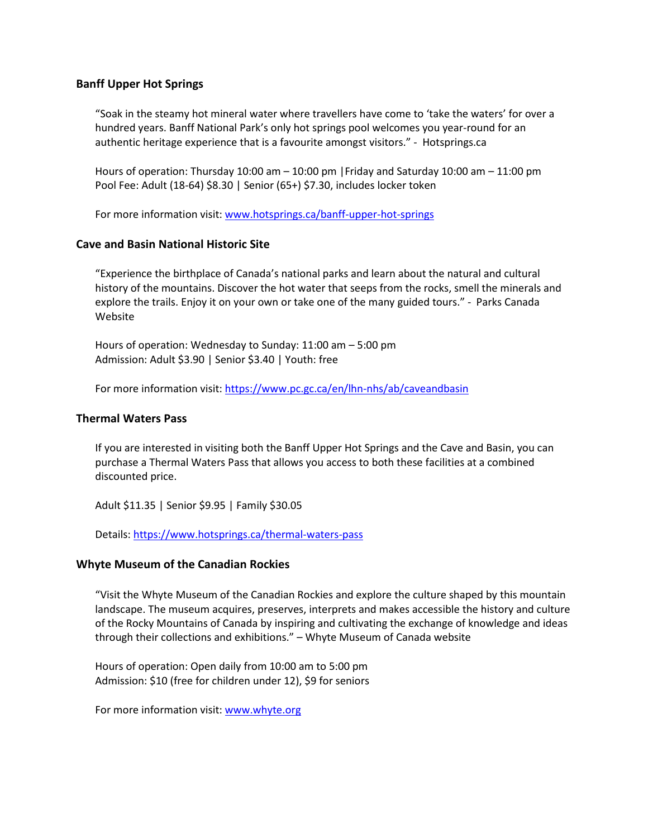### **Banff Upper Hot Springs**

"Soak in the steamy hot mineral water where travellers have come to 'take the waters' for over a hundred years. Banff National Park's only hot springs pool welcomes you year-round for an authentic heritage experience that is a favourite amongst visitors." - Hotsprings.ca

Hours of operation: Thursday 10:00 am  $-$  10:00 pm | Friday and Saturday 10:00 am  $-$  11:00 pm Pool Fee: Adult (18-64) \$8.30 | Senior (65+) \$7.30, includes locker token

For more information visit[: www.hotsprings.ca/banff-upper-hot-springs](https://www.hotsprings.ca/banff-upper-hot-springs)

### **Cave and Basin National Historic Site**

"Experience the birthplace of Canada's national parks and learn about the natural and cultural history of the mountains. Discover the hot water that seeps from the rocks, smell the minerals and explore the trails. Enjoy it on your own or take one of the many guided tours." - Parks Canada Website

Hours of operation: Wednesday to Sunday: 11:00 am – 5:00 pm Admission: Adult \$3.90 | Senior \$3.40 | Youth: free

For more information visit[: https://www.pc.gc.ca/en/lhn-nhs/ab/caveandbasin](https://www.pc.gc.ca/en/lhn-nhs/ab/caveandbasin)

### **Thermal Waters Pass**

If you are interested in visiting both the Banff Upper Hot Springs and the Cave and Basin, you can purchase a Thermal Waters Pass that allows you access to both these facilities at a combined discounted price.

Adult \$11.35 | Senior \$9.95 | Family \$30.05

Details:<https://www.hotsprings.ca/thermal-waters-pass>

### **Whyte Museum of the Canadian Rockies**

"Visit the Whyte Museum of the Canadian Rockies and explore the culture shaped by this mountain landscape. The museum acquires, preserves, interprets and makes accessible the history and culture of the Rocky Mountains of Canada by inspiring and cultivating the exchange of knowledge and ideas through their collections and exhibitions." – Whyte Museum of Canada website

Hours of operation: Open daily from 10:00 am to 5:00 pm Admission: \$10 (free for children under 12), \$9 for seniors

For more information visit[: www.whyte.org](http://www.whyte.org/)